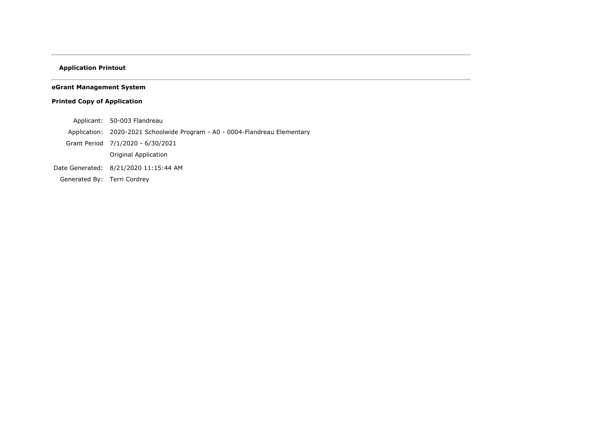# **Application Printout**

# **eGrant Management System**

# **Printed Copy of Application**

- Applicant: 50-003 Flandreau
- Application: 2020-2021 Schoolwide Program A0 0004-Flandreau Elementary
- Grant Period 7/1/2020 6/30/2021
	- Original Application
- Date Generated: 8/21/2020 11:15:44 AM
- Generated By: Terri Cordrey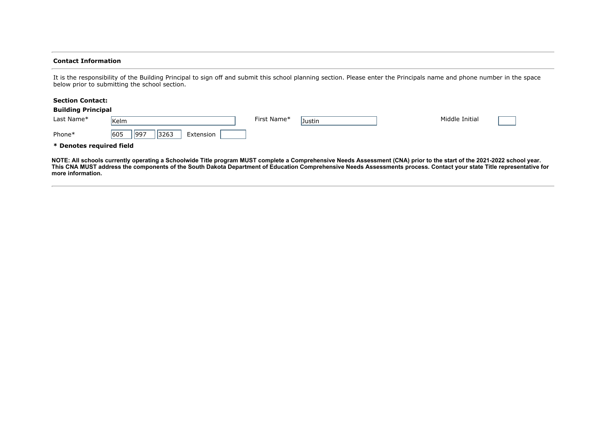#### **Contact Information**

It is the responsibility of the Building Principal to sign off and submit this school planning section. Please enter the Principals name and phone number in the space below prior to submitting the school section.

#### **Section Contact:**

| <b>Building Principal</b> |                                    |             |        |                |  |
|---------------------------|------------------------------------|-------------|--------|----------------|--|
| Last Name*                | <b>Kelm</b>                        | First Name* | Justin | Middle Initial |  |
| Phone*                    | 605<br> 997 <br> 3263<br>Extension |             |        |                |  |
| * Denotes required field  |                                    |             |        |                |  |

**NOTE: All schools currently operating a Schoolwide Title program MUST complete a Comprehensive Needs Assessment (CNA) prior to the start of the 2021-2022 school year. This CNA MUST address the components of the South Dakota Department of Education Comprehensive Needs Assessments process. Contact your state Title representative for more information.**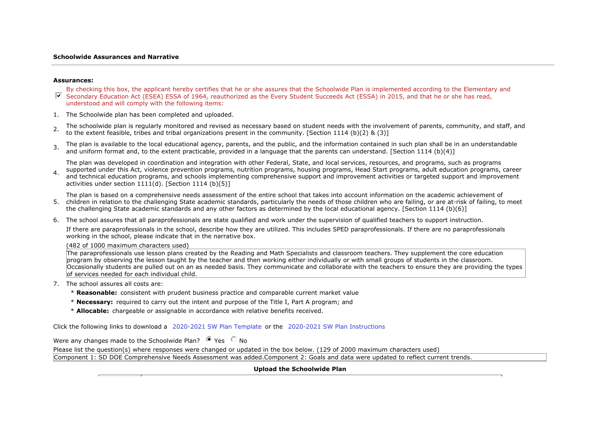#### **Schoolwide Assurances and Narrative**

#### **Assurances:**

- $\nabla$  Secondary Education Act (ESEA) ESSA of 1964, reauthorized as the Every Student Succeeds Act (ESSA) in 2015, and that he or she has read, By checking this box, the applicant hereby certifies that he or she assures that the Schoolwide Plan is implemented according to the Elementary and understood and will comply with the following items:
- 1. The Schoolwide plan has been completed and uploaded.
- 2. The schoolwide plan is regularly monitored and revised as necessary based on student needs with the involvement of parents, community, and staff, and to the extent feasible, tribes and tribal organizations present in the community. [Section 1114 (b)(2) & (3)]
- 3. The plan is available to the local educational agency, parents, and the public, and the information contained in such plan shall be in an understandable and uniform format and, to the extent practicable, provided in a language that the parents can understand. [Section 1114 (b)(4)]

The plan was developed in coordination and integration with other Federal, State, and local services, resources, and programs, such as programs

4. Supported under this Act, violence prevention programs, muthom programs, housing programs, read Start programs, addit education programs, career<br>and technical education programs, and schools implementing comprehensive s supported under this Act, violence prevention programs, nutrition programs, housing programs, Head Start programs, adult education programs, career activities under section  $1111(d)$ . [Section 1114 (b)(5)]

The plan is based on a comprehensive needs assessment of the entire school that takes into account information on the academic achievement of

- 5. children in relation to the challenging State academic standards, particularly the needs of those children who are failing, or are at-risk of failing, to meet the challenging State academic standards and any other factors as determined by the local educational agency. [Section 1114 (b)(6)]
- 6. The school assures that all paraprofessionals are state qualified and work under the supervision of qualified teachers to support instruction.

If there are paraprofessionals in the school, describe how they are utilized. This includes SPED paraprofessionals. If there are no paraprofessionals working in the school, please indicate that in the narrative box.

(482 of 1000 maximum characters used)

The paraprofessionals use lesson plans created by the Reading and Math Specialists and classroom teachers. They supplement the core education program by observing the lesson taught by the teacher and then working either individually or with small groups of students in the classroom. Occasionally students are pulled out on an as needed basis. They communicate and collaborate with the teachers to ensure they are providing the types of services needed for each individual child.

- 7. The school assures all costs are:
	- \* **Reasonable:** consistent with prudent business practice and comparable current market value
	- \* **Necessary:** required to carry out the intent and purpose of the Title I, Part A program; and
	- \* **Allocable:** chargeable or assignable in accordance with relative benefits received.

Click the following links to download a 2020-2021 SW Plan Template or the 2020-2021 SW Plan Instructions

Were any changes made to the Schoolwide Plan?  $\bullet$  Yes  $\circ$  No

Please list the question(s) where responses were changed or updated in the box below. (129 of 2000 maximum characters used)

Component 1: SD DOE Comprehensive Needs Assessment was added.Component 2: Goals and data were updated to reflect current trends.

## **Upload the Schoolwide Plan**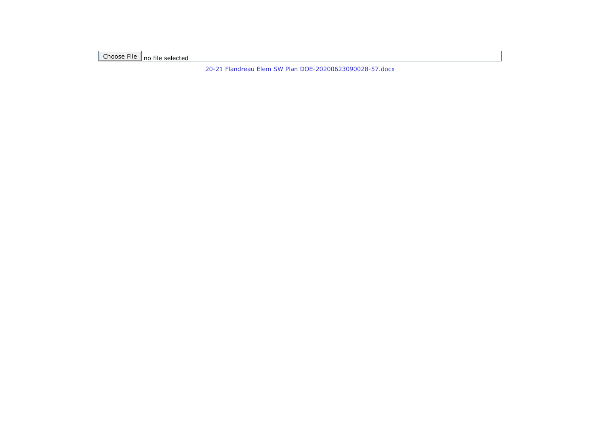Choose File no file selected

[20-21 Flandreau Elem SW Plan DOE-20200623090028-57.docx](https://sddoe.mtwgms.org/SDDOEGMSWeb/UploadFiles/2021/765/SchoolwidePgm/A0//PlanAndAssure/20-21%20Flandreau%20Elem%20SW%20Plan%20DOE-20200623090028-57.docx)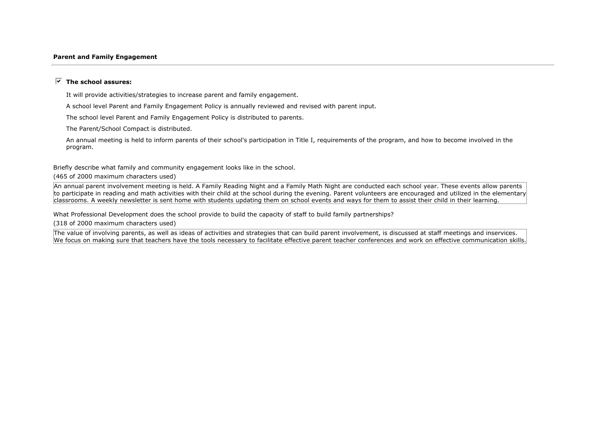#### **Parent and Family Engagement**

### $\overline{V}$  The school assures:

It will provide activities/strategies to increase parent and family engagement.

A school level Parent and Family Engagement Policy is annually reviewed and revised with parent input.

The school level Parent and Family Engagement Policy is distributed to parents.

The Parent/School Compact is distributed.

An annual meeting is held to inform parents of their school's participation in Title I, requirements of the program, and how to become involved in the program.

Briefly describe what family and community engagement looks like in the school.

(465 of 2000 maximum characters used)

An annual parent involvement meeting is held. A Family Reading Night and a Family Math Night are conducted each school year. These events allow parents to participate in reading and math activities with their child at the school during the evening. Parent volunteers are encouraged and utilized in the elementary classrooms. A weekly newsletter is sent home with students updating them on school events and ways for them to assist their child in their learning.

What Professional Development does the school provide to build the capacity of staff to build family partnerships?

(318 of 2000 maximum characters used)

The value of involving parents, as well as ideas of activities and strategies that can build parent involvement, is discussed at staff meetings and inservices. We focus on making sure that teachers have the tools necessary to facilitate effective parent teacher conferences and work on effective communication skills.